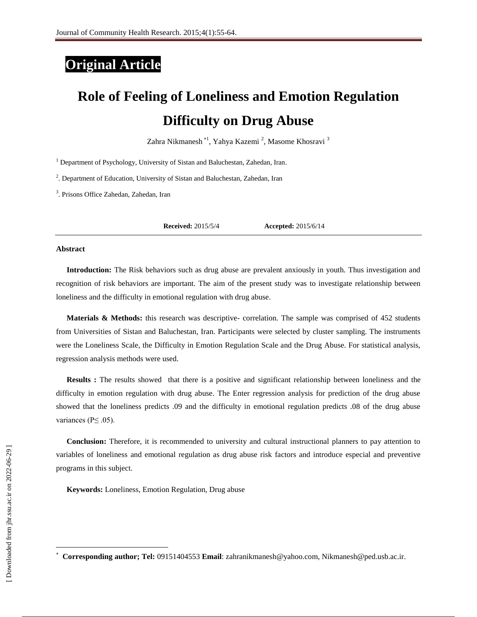# **Original Article**

# **Role of Feeling of Loneliness and Emotion Regulation Difficulty on Drug Abuse**

Zahra Nikmanesh \*<sup>1</sup>, Yahya Kazemi <sup>2</sup>, Masome Khosravi <sup>3</sup>

<sup>1</sup> Department of Psychology, University of Sistan and Baluchestan, Zahedan, Iran.

<sup>2</sup>. Department of Education, University of Sistan and Baluchestan, Zahedan, Iran

3 . Prisons Office Zahedan, Zahedan, Iran

**Received:** 2015/5/4 **Accepted:** 2015/6/14

#### **Abstract**

**Introduction:** The Risk behaviors such as drug abuse are prevalent anxiously in youth. Thus investigation and recognition of risk behaviors are important. The aim of the present study was to investigate relationship between loneliness and the difficulty in emotional regulation with drug abuse.

**Materials & Methods:** this research was descriptive- correlation. The sample was comprised of 452 students from Universities of Sistan and Baluchestan, Iran. Participants were selected by cluster sampling. The instruments were the Loneliness Scale, the Difficulty in Emotion Regulation Scale and the Drug Abuse. For statistical analysis, regression analysis methods were used.

**Results :** The results showed that there is a positive and significant relationship between loneliness and the difficulty in emotion regulation with drug abuse. The Enter regression analysis for prediction of the drug abuse showed that the loneliness predicts .09 and the difficulty in emotional regulation predicts .08 of the drug abuse variances ( $P \leq .05$ ).

**Conclusion:** Therefore, it is recommended to university and cultural instructional planners to pay attention to variables of loneliness and emotional regulation as drug abuse risk factors and introduce especial and preventive programs in this subject.

**Keywords:** Loneliness, Emotion Regulation, Drug abuse

 $\overline{\phantom{a}}$ 

<sup>×</sup> **Corresponding author; Tel:** 09151404553 **Email**: zahranikmanesh@yahoo.com, Nikmanesh@ped.usb.ac.ir.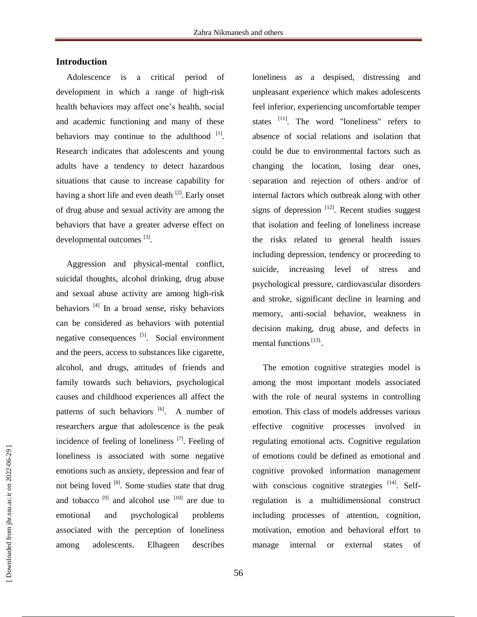# **Introduction**

Adolescence is a critical period of development in which a range of high-risk health behaviors may affect one's health, social and academic functioning and many of these behaviors may continue to the adulthood  $[1]$ . Research indicates that adolescents and young adults have a tendency to detect hazardous situations that cause to increase capability for having a short life and even death <sup>[2]</sup>. Early onset of drug abuse and sexual activity are among the behaviors that have a greater adverse effect on developmental outcomes [3].

Aggression and physical-mental conflict, suicidal thoughts, alcohol drinking, drug abuse and sexual abuse activity are among high-risk behaviors<sup>[4]</sup> In a broad sense, risky behaviors can be considered as behaviors with potential negative consequences <sup>[5]</sup>. Social environment and the peers, access to substances like cigarette, alcohol, and drugs, attitudes of friends and family towards such behaviors, psychological causes and childhood experiences all affect the patterns of such behaviors <sup>[6]</sup>. A number of researchers argue that adolescence is the peak incidence of feeling of loneliness [7]. Feeling of loneliness is associated with some negative emotions such as anxiety, depression and fear of not being loved  $[8]$ . Some studies state that drug and tobacco<sup>[9]</sup> and alcohol use  $[10]$  are due to emotional and psychological problems associated with the perception of loneliness among adolescents. Elhageen describes

loneliness as a despised, distressing and unpleasant experience which makes adolescents feel inferior, experiencing uncomfortable temper states <sup>[11]</sup>. The word "loneliness" refers to absence of social relations and isolation that could be due to environmental factors such as changing the location, losing dear ones, separation and rejection of others and/or of internal factors which outbreak along with other signs of depression  $[12]$ . Recent studies suggest that isolation and feeling of loneliness increase the risks related to general health issues including depression, tendency or proceeding to suicide, increasing level of stress and psychological pressure, cardiovascular disorders and stroke, significant decline in learning and memory, anti-social behavior, weakness in decision making, drug abuse, and defects in mental functions<sup>[13]</sup>.

The emotion cognitive strategies model is among the most important models associated with the role of neural systems in controlling emotion. This class of models addresses various effective cognitive processes involved in regulating emotional acts. Cognitive regulation of emotions could be defined as emotional and cognitive provoked information management with conscious cognitive strategies  $^{[14]}$ . Selfregulation is a multidimensional construct including processes of attention, cognition, motivation, emotion and behavioral effort to manage internal or external states of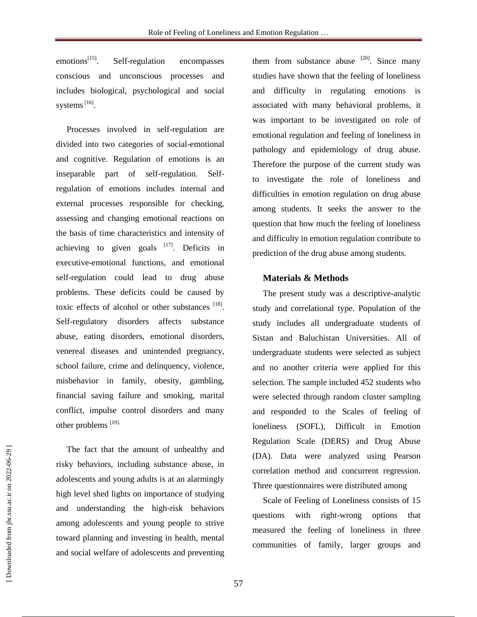$emotions<sup>[15]</sup>$ . . Self-regulation encompasses conscious and unconscious processes and includes biological, psychological and social systems<sup>[16]</sup>.

Processes involved in self-regulation are divided into two categories of social-emotional and cognitive. Regulation of emotions is an inseparable part of self-regulation. Selfregulation of emotions includes internal and external processes responsible for checking, assessing and changing emotional reactions on the basis of time characteristics and intensity of achieving to given goals  $[17]$ . Deficits in executive-emotional functions, and emotional self-regulation could lead to drug abuse problems. These deficits could be caused by toxic effects of alcohol or other substances [18]. Self-regulatory disorders affects substance abuse, eating disorders, emotional disorders, venereal diseases and unintended pregnancy, school failure, crime and delinquency, violence, misbehavior in family, obesity, gambling, financial saving failure and smoking, marital conflict, impulse control disorders and many other problems [19].

The fact that the amount of unhealthy and risky behaviors, including substance abuse, in adolescents and young adults is at an alarmingly high level shed lights on importance of studying and understanding the high-risk behaviors among adolescents and young people to strive toward planning and investing in health, mental and social welfare of adolescents and preventing them from substance abuse  $[20]$ . Since many studies have shown that the feeling of loneliness and difficulty in regulating emotions is associated with many behavioral problems, it was important to be investigated on role of emotional regulation and feeling of loneliness in pathology and epidemiology of drug abuse. Therefore the purpose of the current study was to investigate the role of loneliness and difficulties in emotion regulation on drug abuse among students. It seeks the answer to the question that how much the feeling of loneliness and difficulty in emotion regulation contribute to prediction of the drug abuse among students.

### **Materials & Methods**

The present study was a descriptive-analytic study and correlational type. Population of the study includes all undergraduate students of Sistan and Baluchistan Universities. All of undergraduate students were selected as subject and no another criteria were applied for this selection. The sample included 452 students who were selected through random cluster sampling and responded to the Scales of feeling of loneliness (SOFL), Difficult in Emotion Regulation Scale (DERS) and Drug Abuse (DA). Data were analyzed using Pearson correlation method and concurrent regression. Three questionnaires were distributed among

Scale of Feeling of Loneliness consists of 15 questions with right-wrong options that measured the feeling of loneliness in three communities of family, larger groups and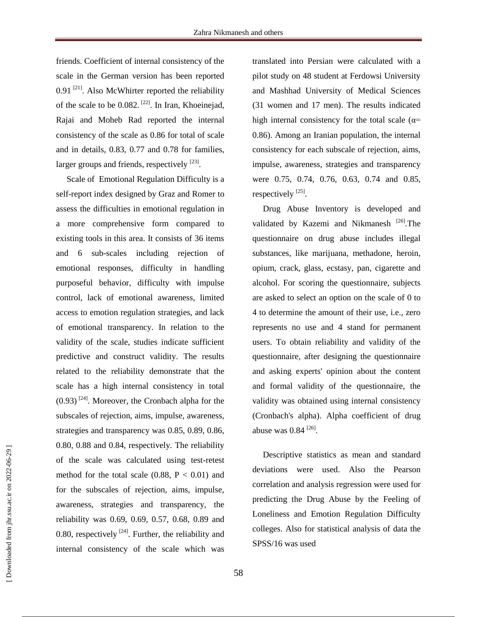friends. Coefficient of internal consistency of the scale in the German version has been reported  $0.91$ <sup>[21]</sup>. Also McWhirter reported the reliability of the scale to be 0.082. [22]. In Iran, Khoeinejad, Rajai and Moheb Rad reported the internal consistency of the scale as 0.86 for total of scale and in details, 0.83, 0.77 and 0.78 for families, larger groups and friends, respectively [23].

Scale of Emotional Regulation Difficulty is a self-report index designed by Graz and Romer to assess the difficulties in emotional regulation in a more comprehensive form compared to existing tools in this area. It consists of 36 items and 6 sub-scales including rejection of emotional responses, difficulty in handling purposeful behavior, difficulty with impulse control, lack of emotional awareness, limited access to emotion regulation strategies, and lack of emotional transparency. In relation to the validity of the scale, studies indicate sufficient predictive and construct validity. The results related to the reliability demonstrate that the scale has a high internal consistency in total  $(0.93)$ <sup>[24]</sup>. Moreover, the Cronbach alpha for the subscales of rejection, aims, impulse, awareness, strategies and transparency was 0.85, 0.89, 0.86, 0.80, 0.88 and 0.84, respectively. The reliability of the scale was calculated using test-retest method for the total scale  $(0.88, P < 0.01)$  and for the subscales of rejection, aims, impulse, awareness, strategies and transparency, the reliability was 0.69, 0.69, 0.57, 0.68, 0.89 and 0.80, respectively  $^{[24]}$ . Further, the reliability and internal consistency of the scale which was

translated into Persian were calculated with a pilot study on 48 student at Ferdowsi University and Mashhad University of Medical Sciences (31 women and 17 men). The results indicated high internal consistency for the total scale ( $\alpha$ = 0.86). Among an Iranian population, the internal consistency for each subscale of rejection, aims, impulse, awareness, strategies and transparency were 0.75, 0.74, 0.76, 0.63, 0.74 and 0.85, respectively  $^{[25]}$ .

Drug Abuse Inventory is developed and validated by Kazemi and Nikmanesh<sup>[26]</sup>. The questionnaire on drug abuse includes illegal substances, like marijuana, methadone, heroin, opium, crack, glass, ecstasy, pan, cigarette and alcohol. For scoring the questionnaire, subjects are asked to select an option on the scale of 0 to 4 to determine the amount of their use, i.e., zero represents no use and 4 stand for permanent users. To obtain reliability and validity of the questionnaire, after designing the questionnaire and asking experts' opinion about the content and formal validity of the questionnaire, the validity was obtained using internal consistency (Cronbach's alpha). Alpha coefficient of drug abuse was  $0.84^{[26]}$ .

Descriptive statistics as mean and standard deviations were used. Also the Pearson correlation and analysis regression were used for predicting the Drug Abuse by the Feeling of Loneliness and Emotion Regulation Difficulty colleges. Also for statistical analysis of data the SPSS/16 was used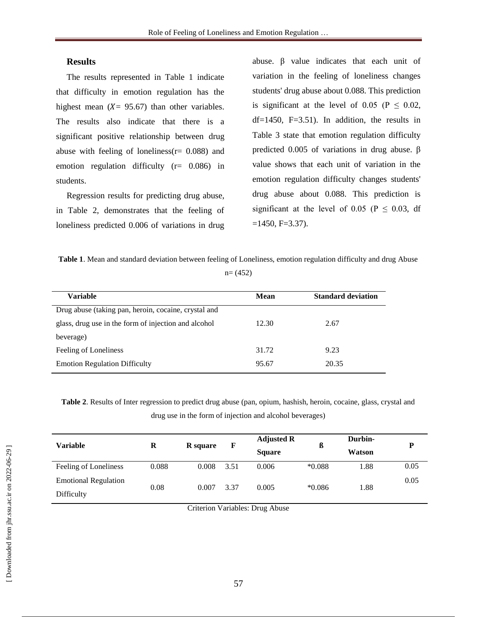# **Results**

The results represented in Table 1 indicate that difficulty in emotion regulation has the highest mean  $(X = 95.67)$  than other variables. The results also indicate that there is a significant positive relationship between drug abuse with feeling of loneliness( $r = 0.088$ ) and emotion regulation difficulty (r= 0.086) in students.

Regression results for predicting drug abuse, in Table 2, demonstrates that the feeling of loneliness predicted 0.006 of variations in drug

abuse. β value indicates that each unit of variation in the feeling of loneliness changes students' drug abuse about 0.088. This prediction is significant at the level of 0.05 ( $P \le 0.02$ ,  $df=1450$ ,  $F=3.51$ ). In addition, the results in Table 3 state that emotion regulation difficulty predicted 0.005 of variations in drug abuse. β value shows that each unit of variation in the emotion regulation difficulty changes students' drug abuse about 0.088. This prediction is significant at the level of 0.05 ( $P \le 0.03$ , df  $=1450, F=3.37$ ).

**Table 1**. Mean and standard deviation between feeling of Loneliness, emotion regulation difficulty and drug Abuse  $n= (452)$ 

| <b>Variable</b>                                      | Mean  | <b>Standard deviation</b> |  |
|------------------------------------------------------|-------|---------------------------|--|
|                                                      |       |                           |  |
| Drug abuse (taking pan, heroin, cocaine, crystal and |       |                           |  |
| glass, drug use in the form of injection and alcohol | 12.30 | 2.67                      |  |
| beverage)                                            |       |                           |  |
| Feeling of Loneliness                                | 31.72 | 9.23                      |  |
| <b>Emotion Regulation Difficulty</b>                 | 95.67 | 20.35                     |  |

**Table 2**. Results of Inter regression to predict drug abuse (pan, opium, hashish, heroin, cocaine, glass, crystal and drug use in the form of injection and alcohol beverages)

| Variable                    | R     | <b>R</b> square | F    | <b>Adjusted R</b><br><b>Square</b> | ß        | Durbin-<br>Watson | P    |
|-----------------------------|-------|-----------------|------|------------------------------------|----------|-------------------|------|
| Feeling of Loneliness       | 0.088 | 0.008           | 3.51 | 0.006                              | $*0.088$ | 1.88              | 0.05 |
| <b>Emotional Regulation</b> | 0.08  | 0.007           | 3.37 | 0.005                              | $*0.086$ | 1.88              | 0.05 |
| Difficulty                  |       |                 |      |                                    |          |                   |      |

Criterion Variables: Drug Abuse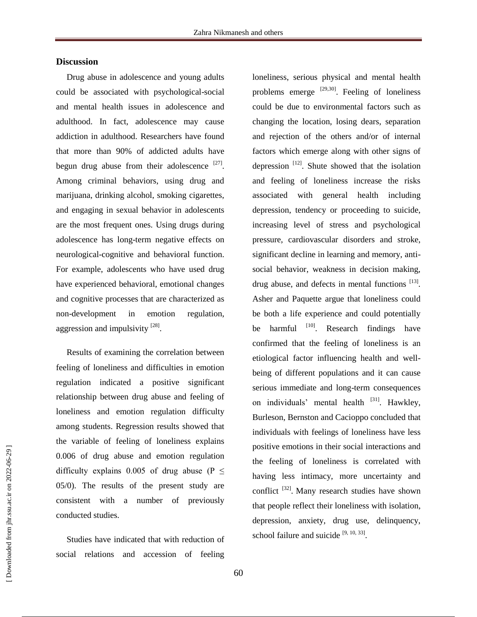# **Discussion**

Drug abuse in adolescence and young adults could be associated with psychological-social and mental health issues in adolescence and adulthood. In fact, adolescence may cause addiction in adulthood. Researchers have found that more than 90% of addicted adults have begun drug abuse from their adolescence  $[27]$ . Among criminal behaviors, using drug and marijuana, drinking alcohol, smoking cigarettes, and engaging in sexual behavior in adolescents are the most frequent ones. Using drugs during adolescence has long-term negative effects on neurological-cognitive and behavioral function. For example, adolescents who have used drug have experienced behavioral, emotional changes and cognitive processes that are characterized as non-development in emotion regulation, aggression and impulsivity [28].

Results of examining the correlation between feeling of loneliness and difficulties in emotion regulation indicated a positive significant relationship between drug abuse and feeling of loneliness and emotion regulation difficulty among students. Regression results showed that the variable of feeling of loneliness explains 0.006 of drug abuse and emotion regulation difficulty explains 0.005 of drug abuse (P  $\leq$ 05/0). The results of the present study are consistent with a number of previously conducted studies.

Studies have indicated that with reduction of social relations and accession of feeling loneliness, serious physical and mental health problems emerge  $^{[29,30]}$ . Feeling of loneliness could be due to environmental factors such as changing the location, losing dears, separation and rejection of the others and/or of internal factors which emerge along with other signs of depression  $[12]$ . Shute showed that the isolation and feeling of loneliness increase the risks associated with general health including depression, tendency or proceeding to suicide, increasing level of stress and psychological pressure, cardiovascular disorders and stroke, significant decline in learning and memory, antisocial behavior, weakness in decision making, drug abuse, and defects in mental functions [13]. Asher and Paquette argue that loneliness could be both a life experience and could potentially be harmful  $[10]$ . Research findings have confirmed that the feeling of loneliness is an etiological factor influencing health and wellbeing of different populations and it can cause serious immediate and long-term consequences on individuals' mental health <sup>[31]</sup>. Hawkley, Burleson, Bernston and Cacioppo concluded that individuals with feelings of loneliness have less positive emotions in their social interactions and the feeling of loneliness is correlated with having less intimacy, more uncertainty and conflict  $^{[32]}$ . Many research studies have shown that people reflect their loneliness with isolation, depression, anxiety, drug use, delinquency, school failure and suicide  $[9, 10, 33]$ .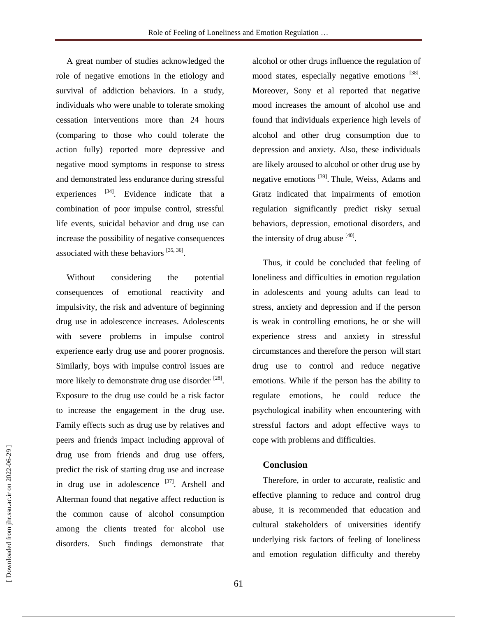A great number of studies acknowledged the role of negative emotions in the etiology and survival of addiction behaviors. In a study, individuals who were unable to tolerate smoking cessation interventions more than 24 hours (comparing to those who could tolerate the action fully) reported more depressive and negative mood symptoms in response to stress and demonstrated less endurance during stressful experiences  $^{[34]}$ . Evidence indicate that a combination of poor impulse control, stressful life events, suicidal behavior and drug use can increase the possibility of negative consequences associated with these behaviors  $[35, 36]$ .

Without considering the potential consequences of emotional reactivity and impulsivity, the risk and adventure of beginning drug use in adolescence increases. Adolescents with severe problems in impulse control experience early drug use and poorer prognosis. Similarly, boys with impulse control issues are more likely to demonstrate drug use disorder <sup>[28]</sup>. Exposure to the drug use could be a risk factor to increase the engagement in the drug use. Family effects such as drug use by relatives and peers and friends impact including approval of drug use from friends and drug use offers, predict the risk of starting drug use and increase in drug use in adolescence <sup>[37]</sup>. Arshell and Alterman found that negative affect reduction is the common cause of alcohol consumption among the clients treated for alcohol use disorders. Such findings demonstrate that

alcohol or other drugs influence the regulation of mood states, especially negative emotions [38]. Moreover, Sony et al reported that negative mood increases the amount of alcohol use and found that individuals experience high levels of alcohol and other drug consumption due to depression and anxiety. Also, these individuals are likely aroused to alcohol or other drug use by negative emotions <sup>[39]</sup>. Thule, Weiss, Adams and Gratz indicated that impairments of emotion regulation significantly predict risky sexual behaviors, depression, emotional disorders, and the intensity of drug abuse  $^{[40]}$ .

Thus, it could be concluded that feeling of loneliness and difficulties in emotion regulation in adolescents and young adults can lead to stress, anxiety and depression and if the person is weak in controlling emotions, he or she will experience stress and anxiety in stressful circumstances and therefore the person will start drug use to control and reduce negative emotions. While if the person has the ability to regulate emotions, he could reduce the psychological inability when encountering with stressful factors and adopt effective ways to cope with problems and difficulties.

#### **Conclusion**

Therefore, in order to accurate, realistic and effective planning to reduce and control drug abuse, it is recommended that education and cultural stakeholders of universities identify underlying risk factors of feeling of loneliness and emotion regulation difficulty and thereby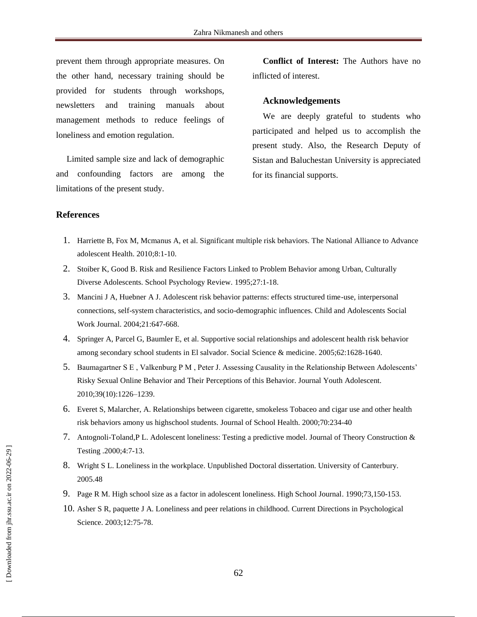prevent them through appropriate measures. On the other hand, necessary training should be provided for students through workshops, newsletters and training manuals about management methods to reduce feelings of loneliness and emotion regulation.

Limited sample size and lack of demographic and confounding factors are among the limitations of the present study.

**Conflict of Interest:** The Authors have no inflicted of interest.

#### **Acknowledgements**

We are deeply grateful to students who participated and helped us to accomplish the present study. Also, the Research Deputy of Sistan and Baluchestan University is appreciated for its financial supports.

#### **References**

- 1. Harriette B, Fox M, Mcmanus A, et al. Significant multiple risk behaviors. The National Alliance to Advance adolescent Health. 2010;8:1-10.
- 2. Stoiber K, Good B. Risk and Resilience Factors Linked to Problem Behavior among Urban, Culturally Diverse Adolescents. School Psychology Review. 1995;27:1-18.
- 3. Mancini J A, Huebner A J. Adolescent risk behavior patterns: effects structured time-use, interpersonal connections, self-system characteristics, and socio-demographic influences. Child and Adolescents Social Work Journal. 2004;21:647-668.
- 4. Springer A, Parcel G, Baumler E, et al. Supportive social relationships and adolescent health risk behavior among secondary school students in El salvador. Social Science & medicine. 2005;62:1628-1640.
- 5. Baumagartner S E , Valkenburg P M , Peter J. Assessing Causality in the Relationship Between Adolescents' Risky Sexual Online Behavior and Their Perceptions of this Behavior. Journal Youth Adolescent. 2010;39(10):1226–1239.
- 6. Everet S, Malarcher, A. Relationships between cigarette, smokeless Tobaceo and cigar use and other health risk behaviors amony us highschool students. Journal of School Health. 2000;70:234-40
- 7. Antognoli-Toland,P L. Adolescent loneliness: Testing a predictive model. Journal of Theory Construction & Testing .2000;4:7-13.
- 8. Wright S L. Loneliness in the workplace. Unpublished Doctoral dissertation. University of Canterbury. 2005.48
- 9. Page R M. High school size as a factor in adolescent loneliness. High School Journal. 1990;73,150-153.
- 10. Asher S R, paquette J A. Loneliness and peer relations in childhood. Current Directions in Psychological Science. 2003;12:75-78.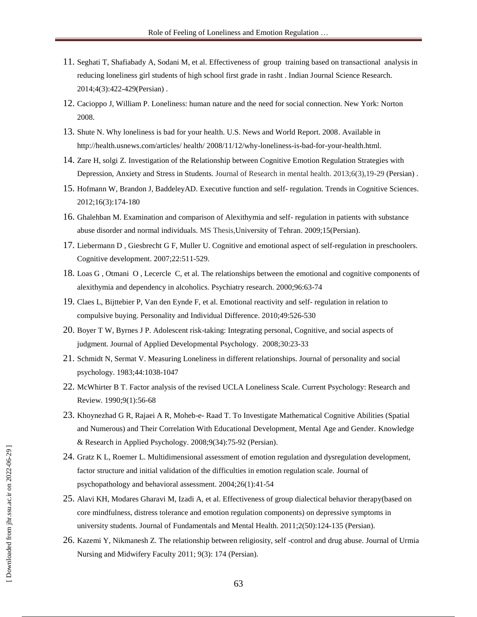- 11. Seghati T, Shafiabady A, Sodani M, et al. Effectiveness of group training based on transactional analysis in reducing loneliness girl students of high school first grade in rasht . Indian Journal Science Research. 2014;4(3):422-429(Persian) .
- 12. Cacioppo J, William P. Loneliness: human nature and the need for social connection. New York: Norton 2008.
- 13. Shute N. Why loneliness is bad for your health. U.S. News and World Report. 2008. Available in http://health.usnews.com/articles/ health/ 2008/11/12/why-loneliness-is-bad-for-your-health.html.
- 14. Zare H, solgi Z. Investigation of the Relationship between Cognitive Emotion Regulation Strategies with Depression, Anxiety and Stress in Students. Journal of Research in mental health. 2013;6(3),19-29 (Persian) .
- 15. Hofmann W, Brandon J, BaddeleyAD. Executive function and self- regulation. Trends in Cognitive Sciences. 2012;16(3):174-180
- 16. Ghalehban M. Examination and comparison of Alexithymia and self- regulation in patients with substance abuse disorder and normal individuals. MS Thesis,University of Tehran. 2009;15(Persian).
- 17. Liebermann D , Giesbrecht G F, Muller U. Cognitive and emotional aspect of self-regulation in preschoolers. Cognitive development. 2007;22:511-529.
- 18. Loas G , Otmani O , Lecercle C, et al. The relationships between the emotional and cognitive components of alexithymia and dependency in alcoholics. Psychiatry research. 2000;96:63-74
- 19. Claes L, Bijttebier P, Van den Eynde F, et al. Emotional reactivity and self- regulation in relation to compulsive buying. Personality and Individual Difference. 2010;49:526-530
- 20. Boyer T W, Byrnes J P. Adolescent risk-taking: Integrating personal, Cognitive, and social aspects of judgment. Journal of Applied Developmental Psychology. 2008;30:23-33
- 21. Schmidt N, Sermat V. Measuring Loneliness in different relationships. Journal of personality and social psychology. 1983;44:1038-1047
- 22. McWhirter B T. Factor analysis of the revised UCLA Loneliness Scale. Current Psychology: Research and Review. 1990;9(1):56-68
- 23. Khoynezhad G R, Rajaei A R, Moheb-e- Raad T. To Investigate Mathematical Cognitive Abilities (Spatial and Numerous) and Their Correlation With Educational Development, Mental Age and Gender. [Knowledge](http://www.magiran.com/magtoc.asp?mgID=1417&Number=34&Appendix=0&lanf=En)  [& Research in Applied Psychology.](http://www.magiran.com/magtoc.asp?mgID=1417&Number=34&Appendix=0&lanf=En) 2008;9(34):75-92 (Persian).
- 24. Gratz K L, Roemer L. Multidimensional assessment of emotion regulation and dysregulation development, factor structure and initial validation of the difficulties in emotion regulation scale. Journal of psychopathology and behavioral assessment. 2004;26(1):41-54
- 25. Alavi KH, Modares Gharavi M, Izadi A, et al. Effectiveness of group dialectical behavior therapy(based on core mindfulness, distress tolerance and emotion regulation components) on depressive symptoms in university students. Journal of Fundamentals and Mental Health. 2011;2(50):124-135 (Persian).
- 26. Kazemi Y, Nikmanesh Z. The relationship between religiosity, self -control and drug abuse. [Journal of Urmia](http://www.magiran.com/magtoc.asp?mgID=4004&Number=35&Appendix=0&lanf=En)  Nursing and [Midwifery Faculty](http://www.magiran.com/magtoc.asp?mgID=4004&Number=35&Appendix=0&lanf=En) 2011; 9(3): 174 (Persian).